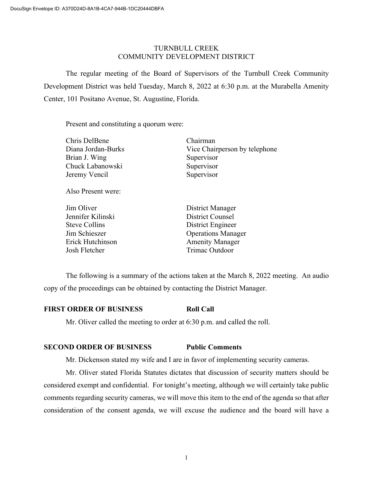# TURNBULL CREEK COMMUNITY DEVELOPMENT DISTRICT

The regular meeting of the Board of Supervisors of the Turnbull Creek Community Development District was held Tuesday, March 8, 2022 at 6:30 p.m. at the Murabella Amenity Center, 101 Positano Avenue, St. Augustine, Florida.

Present and constituting a quorum were:

| Chris DelBene      | Chairman                      |
|--------------------|-------------------------------|
| Diana Jordan-Burks | Vice Chairperson by telephone |
| Brian J. Wing      | Supervisor                    |
| Chuck Labanowski   | Supervisor                    |
| Jeremy Vencil      | Supervisor                    |
| Also Present were: |                               |

| Jim Oliver           | District Manager          |
|----------------------|---------------------------|
| Jennifer Kilinski    | <b>District Counsel</b>   |
| <b>Steve Collins</b> | District Engineer         |
| Jim Schieszer        | <b>Operations Manager</b> |
| Erick Hutchinson     | <b>Amenity Manager</b>    |
| Josh Fletcher        | Trimac Outdoor            |

The following is a summary of the actions taken at the March 8, 2022 meeting. An audio copy of the proceedings can be obtained by contacting the District Manager.

# **FIRST ORDER OF BUSINESS Roll Call**

Mr. Oliver called the meeting to order at 6:30 p.m. and called the roll.

# **SECOND ORDER OF BUSINESS Public Comments**

Mr. Dickenson stated my wife and I are in favor of implementing security cameras.

Mr. Oliver stated Florida Statutes dictates that discussion of security matters should be considered exempt and confidential. For tonight's meeting, although we will certainly take public comments regarding security cameras, we will move this item to the end of the agenda so that after consideration of the consent agenda, we will excuse the audience and the board will have a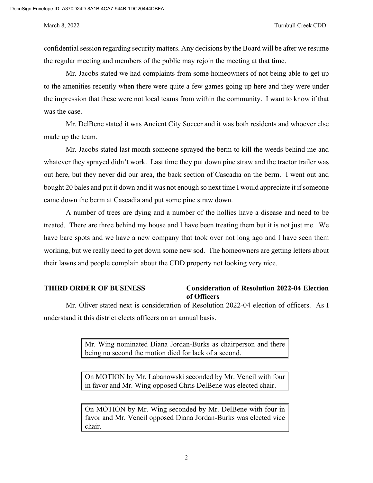confidential session regarding security matters. Any decisions by the Board will be after we resume the regular meeting and members of the public may rejoin the meeting at that time.

Mr. Jacobs stated we had complaints from some homeowners of not being able to get up to the amenities recently when there were quite a few games going up here and they were under the impression that these were not local teams from within the community. I want to know if that was the case.

Mr. DelBene stated it was Ancient City Soccer and it was both residents and whoever else made up the team.

Mr. Jacobs stated last month someone sprayed the berm to kill the weeds behind me and whatever they sprayed didn't work. Last time they put down pine straw and the tractor trailer was out here, but they never did our area, the back section of Cascadia on the berm. I went out and bought 20 bales and put it down and it was not enough so next time I would appreciate it if someone came down the berm at Cascadia and put some pine straw down.

A number of trees are dying and a number of the hollies have a disease and need to be treated. There are three behind my house and I have been treating them but it is not just me. We have bare spots and we have a new company that took over not long ago and I have seen them working, but we really need to get down some new sod. The homeowners are getting letters about their lawns and people complain about the CDD property not looking very nice.

# **THIRD ORDER OF BUSINESS Consideration of Resolution 2022-04 Election of Officers**

Mr. Oliver stated next is consideration of Resolution 2022-04 election of officers. As I understand it this district elects officers on an annual basis.

> Mr. Wing nominated Diana Jordan-Burks as chairperson and there being no second the motion died for lack of a second.

> On MOTION by Mr. Labanowski seconded by Mr. Vencil with four in favor and Mr. Wing opposed Chris DelBene was elected chair.

> On MOTION by Mr. Wing seconded by Mr. DelBene with four in favor and Mr. Vencil opposed Diana Jordan-Burks was elected vice chair.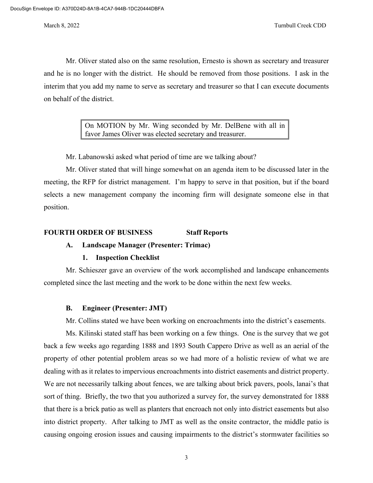Mr. Oliver stated also on the same resolution, Ernesto is shown as secretary and treasurer and he is no longer with the district. He should be removed from those positions. I ask in the interim that you add my name to serve as secretary and treasurer so that I can execute documents on behalf of the district.

> On MOTION by Mr. Wing seconded by Mr. DelBene with all in favor James Oliver was elected secretary and treasurer.

Mr. Labanowski asked what period of time are we talking about?

Mr. Oliver stated that will hinge somewhat on an agenda item to be discussed later in the meeting, the RFP for district management. I'm happy to serve in that position, but if the board selects a new management company the incoming firm will designate someone else in that position.

# **FOURTH ORDER OF BUSINESS Staff Reports**

# **A. Landscape Manager (Presenter: Trimac)**

# **1. Inspection Checklist**

Mr. Schieszer gave an overview of the work accomplished and landscape enhancements completed since the last meeting and the work to be done within the next few weeks.

# **B. Engineer (Presenter: JMT)**

Mr. Collins stated we have been working on encroachments into the district's easements.

Ms. Kilinski stated staff has been working on a few things. One is the survey that we got back a few weeks ago regarding 1888 and 1893 South Cappero Drive as well as an aerial of the property of other potential problem areas so we had more of a holistic review of what we are dealing with as it relates to impervious encroachments into district easements and district property. We are not necessarily talking about fences, we are talking about brick pavers, pools, lanai's that sort of thing. Briefly, the two that you authorized a survey for, the survey demonstrated for 1888 that there is a brick patio as well as planters that encroach not only into district easements but also into district property. After talking to JMT as well as the onsite contractor, the middle patio is causing ongoing erosion issues and causing impairments to the district's stormwater facilities so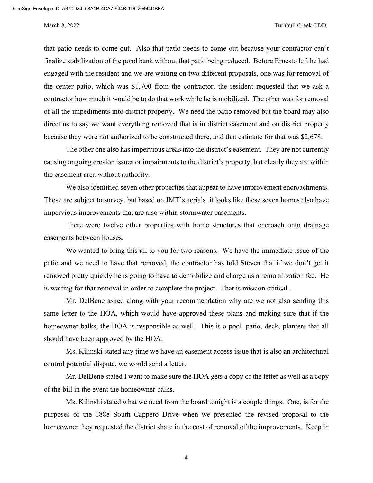### March 8, 2022 Turnbull Creek CDD

that patio needs to come out. Also that patio needs to come out because your contractor can't finalize stabilization of the pond bank without that patio being reduced. Before Ernesto left he had engaged with the resident and we are waiting on two different proposals, one was for removal of the center patio, which was \$1,700 from the contractor, the resident requested that we ask a contractor how much it would be to do that work while he is mobilized. The other was for removal of all the impediments into district property. We need the patio removed but the board may also direct us to say we want everything removed that is in district easement and on district property because they were not authorized to be constructed there, and that estimate for that was \$2,678.

The other one also has impervious areas into the district's easement. They are not currently causing ongoing erosion issues or impairments to the district's property, but clearly they are within the easement area without authority.

We also identified seven other properties that appear to have improvement encroachments. Those are subject to survey, but based on JMT's aerials, it looks like these seven homes also have impervious improvements that are also within stormwater easements.

There were twelve other properties with home structures that encroach onto drainage easements between houses.

We wanted to bring this all to you for two reasons. We have the immediate issue of the patio and we need to have that removed, the contractor has told Steven that if we don't get it removed pretty quickly he is going to have to demobilize and charge us a remobilization fee. He is waiting for that removal in order to complete the project. That is mission critical.

Mr. DelBene asked along with your recommendation why are we not also sending this same letter to the HOA, which would have approved these plans and making sure that if the homeowner balks, the HOA is responsible as well. This is a pool, patio, deck, planters that all should have been approved by the HOA.

Ms. Kilinski stated any time we have an easement access issue that is also an architectural control potential dispute, we would send a letter.

Mr. DelBene stated I want to make sure the HOA gets a copy of the letter as well as a copy of the bill in the event the homeowner balks.

Ms. Kilinski stated what we need from the board tonight is a couple things. One, is for the purposes of the 1888 South Cappero Drive when we presented the revised proposal to the homeowner they requested the district share in the cost of removal of the improvements. Keep in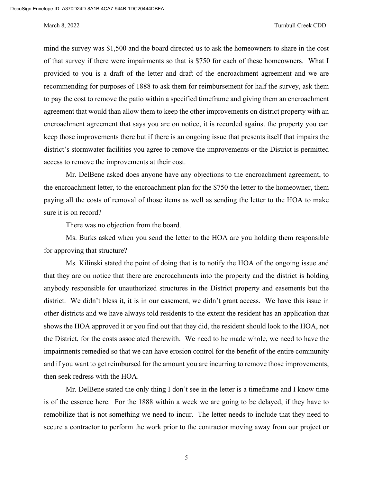### March 8, 2022 Turnbull Creek CDD

mind the survey was \$1,500 and the board directed us to ask the homeowners to share in the cost of that survey if there were impairments so that is \$750 for each of these homeowners. What I provided to you is a draft of the letter and draft of the encroachment agreement and we are recommending for purposes of 1888 to ask them for reimbursement for half the survey, ask them to pay the cost to remove the patio within a specified timeframe and giving them an encroachment agreement that would than allow them to keep the other improvements on district property with an encroachment agreement that says you are on notice, it is recorded against the property you can keep those improvements there but if there is an ongoing issue that presents itself that impairs the district's stormwater facilities you agree to remove the improvements or the District is permitted access to remove the improvements at their cost.

Mr. DelBene asked does anyone have any objections to the encroachment agreement, to the encroachment letter, to the encroachment plan for the \$750 the letter to the homeowner, them paying all the costs of removal of those items as well as sending the letter to the HOA to make sure it is on record?

There was no objection from the board.

Ms. Burks asked when you send the letter to the HOA are you holding them responsible for approving that structure?

Ms. Kilinski stated the point of doing that is to notify the HOA of the ongoing issue and that they are on notice that there are encroachments into the property and the district is holding anybody responsible for unauthorized structures in the District property and easements but the district. We didn't bless it, it is in our easement, we didn't grant access. We have this issue in other districts and we have always told residents to the extent the resident has an application that shows the HOA approved it or you find out that they did, the resident should look to the HOA, not the District, for the costs associated therewith. We need to be made whole, we need to have the impairments remedied so that we can have erosion control for the benefit of the entire community and if you want to get reimbursed for the amount you are incurring to remove those improvements, then seek redress with the HOA.

Mr. DelBene stated the only thing I don't see in the letter is a timeframe and I know time is of the essence here. For the 1888 within a week we are going to be delayed, if they have to remobilize that is not something we need to incur. The letter needs to include that they need to secure a contractor to perform the work prior to the contractor moving away from our project or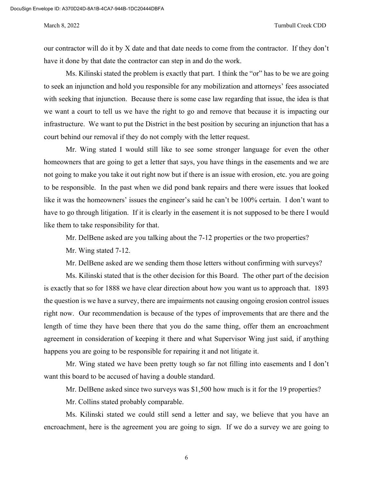our contractor will do it by X date and that date needs to come from the contractor. If they don't have it done by that date the contractor can step in and do the work.

Ms. Kilinski stated the problem is exactly that part. I think the "or" has to be we are going to seek an injunction and hold you responsible for any mobilization and attorneys' fees associated with seeking that injunction. Because there is some case law regarding that issue, the idea is that we want a court to tell us we have the right to go and remove that because it is impacting our infrastructure. We want to put the District in the best position by securing an injunction that has a court behind our removal if they do not comply with the letter request.

Mr. Wing stated I would still like to see some stronger language for even the other homeowners that are going to get a letter that says, you have things in the easements and we are not going to make you take it out right now but if there is an issue with erosion, etc. you are going to be responsible. In the past when we did pond bank repairs and there were issues that looked like it was the homeowners' issues the engineer's said he can't be 100% certain. I don't want to have to go through litigation. If it is clearly in the easement it is not supposed to be there I would like them to take responsibility for that.

Mr. DelBene asked are you talking about the 7-12 properties or the two properties?

Mr. Wing stated 7-12.

Mr. DelBene asked are we sending them those letters without confirming with surveys?

Ms. Kilinski stated that is the other decision for this Board. The other part of the decision is exactly that so for 1888 we have clear direction about how you want us to approach that. 1893 the question is we have a survey, there are impairments not causing ongoing erosion control issues right now. Our recommendation is because of the types of improvements that are there and the length of time they have been there that you do the same thing, offer them an encroachment agreement in consideration of keeping it there and what Supervisor Wing just said, if anything happens you are going to be responsible for repairing it and not litigate it.

Mr. Wing stated we have been pretty tough so far not filling into easements and I don't want this board to be accused of having a double standard.

Mr. DelBene asked since two surveys was \$1,500 how much is it for the 19 properties?

Mr. Collins stated probably comparable.

Ms. Kilinski stated we could still send a letter and say, we believe that you have an encroachment, here is the agreement you are going to sign. If we do a survey we are going to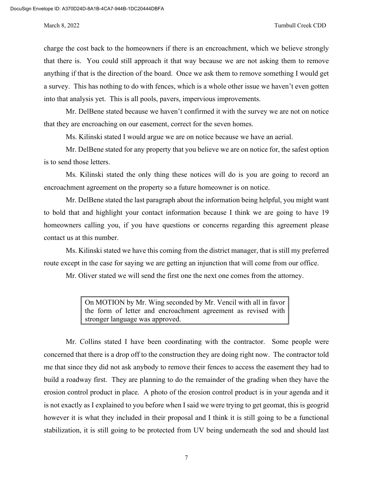charge the cost back to the homeowners if there is an encroachment, which we believe strongly that there is. You could still approach it that way because we are not asking them to remove anything if that is the direction of the board. Once we ask them to remove something I would get a survey. This has nothing to do with fences, which is a whole other issue we haven't even gotten into that analysis yet. This is all pools, pavers, impervious improvements.

Mr. DelBene stated because we haven't confirmed it with the survey we are not on notice that they are encroaching on our easement, correct for the seven homes.

Ms. Kilinski stated I would argue we are on notice because we have an aerial.

Mr. DelBene stated for any property that you believe we are on notice for, the safest option is to send those letters.

Ms. Kilinski stated the only thing these notices will do is you are going to record an encroachment agreement on the property so a future homeowner is on notice.

Mr. DelBene stated the last paragraph about the information being helpful, you might want to bold that and highlight your contact information because I think we are going to have 19 homeowners calling you, if you have questions or concerns regarding this agreement please contact us at this number.

Ms. Kilinski stated we have this coming from the district manager, that is still my preferred route except in the case for saying we are getting an injunction that will come from our office.

Mr. Oliver stated we will send the first one the next one comes from the attorney.

On MOTION by Mr. Wing seconded by Mr. Vencil with all in favor the form of letter and encroachment agreement as revised with stronger language was approved.

Mr. Collins stated I have been coordinating with the contractor. Some people were concerned that there is a drop off to the construction they are doing right now. The contractor told me that since they did not ask anybody to remove their fences to access the easement they had to build a roadway first. They are planning to do the remainder of the grading when they have the erosion control product in place. A photo of the erosion control product is in your agenda and it is not exactly as I explained to you before when I said we were trying to get geomat, this is geogrid however it is what they included in their proposal and I think it is still going to be a functional stabilization, it is still going to be protected from UV being underneath the sod and should last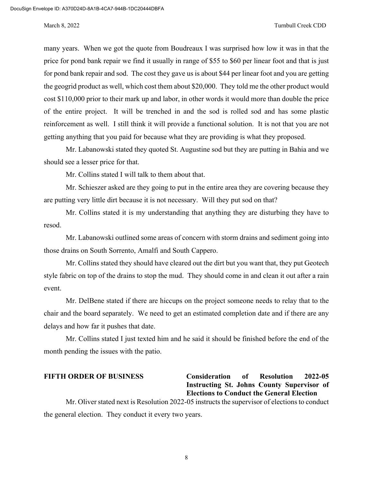many years. When we got the quote from Boudreaux I was surprised how low it was in that the price for pond bank repair we find it usually in range of \$55 to \$60 per linear foot and that is just for pond bank repair and sod. The cost they gave us is about \$44 per linear foot and you are getting the geogrid product as well, which cost them about \$20,000. They told me the other product would cost \$110,000 prior to their mark up and labor, in other words it would more than double the price of the entire project. It will be trenched in and the sod is rolled sod and has some plastic reinforcement as well. I still think it will provide a functional solution. It is not that you are not getting anything that you paid for because what they are providing is what they proposed.

Mr. Labanowski stated they quoted St. Augustine sod but they are putting in Bahia and we should see a lesser price for that.

Mr. Collins stated I will talk to them about that.

Mr. Schieszer asked are they going to put in the entire area they are covering because they are putting very little dirt because it is not necessary. Will they put sod on that?

Mr. Collins stated it is my understanding that anything they are disturbing they have to resod.

Mr. Labanowski outlined some areas of concern with storm drains and sediment going into those drains on South Sorrento, Amalfi and South Cappero.

Mr. Collins stated they should have cleared out the dirt but you want that, they put Geotech style fabric on top of the drains to stop the mud. They should come in and clean it out after a rain event.

Mr. DelBene stated if there are hiccups on the project someone needs to relay that to the chair and the board separately. We need to get an estimated completion date and if there are any delays and how far it pushes that date.

Mr. Collins stated I just texted him and he said it should be finished before the end of the month pending the issues with the patio.

**FIFTH ORDER OF BUSINESS Consideration of Resolution 2022-05 Instructing St. Johns County Supervisor of Elections to Conduct the General Election**

Mr. Oliver stated next is Resolution 2022-05 instructs the supervisor of elections to conduct the general election. They conduct it every two years.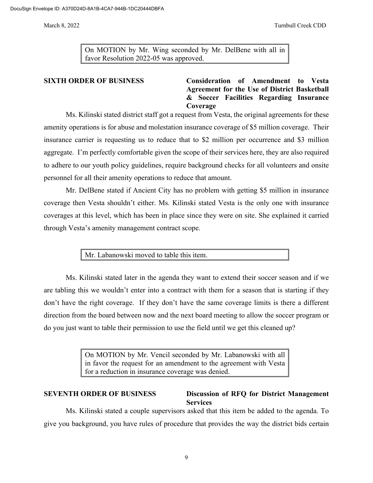On MOTION by Mr. Wing seconded by Mr. DelBene with all in favor Resolution 2022-05 was approved.

# **SIXTH ORDER OF BUSINESS Consideration of Amendment to Vesta Agreement for the Use of District Basketball & Soccer Facilities Regarding Insurance Coverage**

Ms. Kilinski stated district staff got a request from Vesta, the original agreements for these amenity operations is for abuse and molestation insurance coverage of \$5 million coverage. Their insurance carrier is requesting us to reduce that to \$2 million per occurrence and \$3 million aggregate. I'm perfectly comfortable given the scope of their services here, they are also required to adhere to our youth policy guidelines, require background checks for all volunteers and onsite personnel for all their amenity operations to reduce that amount.

Mr. DelBene stated if Ancient City has no problem with getting \$5 million in insurance coverage then Vesta shouldn't either. Ms. Kilinski stated Vesta is the only one with insurance coverages at this level, which has been in place since they were on site. She explained it carried through Vesta's amenity management contract scope.

Mr. Labanowski moved to table this item.

Ms. Kilinski stated later in the agenda they want to extend their soccer season and if we are tabling this we wouldn't enter into a contract with them for a season that is starting if they don't have the right coverage. If they don't have the same coverage limits is there a different direction from the board between now and the next board meeting to allow the soccer program or do you just want to table their permission to use the field until we get this cleaned up?

> On MOTION by Mr. Vencil seconded by Mr. Labanowski with all in favor the request for an amendment to the agreement with Vesta for a reduction in insurance coverage was denied.

# **SEVENTH ORDER OF BUSINESS Discussion of RFQ for District Management Services**

Ms. Kilinski stated a couple supervisors asked that this item be added to the agenda. To give you background, you have rules of procedure that provides the way the district bids certain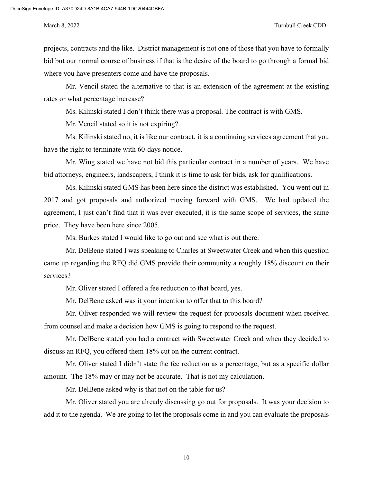projects, contracts and the like. District management is not one of those that you have to formally bid but our normal course of business if that is the desire of the board to go through a formal bid where you have presenters come and have the proposals.

Mr. Vencil stated the alternative to that is an extension of the agreement at the existing rates or what percentage increase?

Ms. Kilinski stated I don't think there was a proposal. The contract is with GMS.

Mr. Vencil stated so it is not expiring?

Ms. Kilinski stated no, it is like our contract, it is a continuing services agreement that you have the right to terminate with 60-days notice.

Mr. Wing stated we have not bid this particular contract in a number of years. We have bid attorneys, engineers, landscapers, I think it is time to ask for bids, ask for qualifications.

Ms. Kilinski stated GMS has been here since the district was established. You went out in 2017 and got proposals and authorized moving forward with GMS. We had updated the agreement, I just can't find that it was ever executed, it is the same scope of services, the same price. They have been here since 2005.

Ms. Burkes stated I would like to go out and see what is out there.

Mr. DelBene stated I was speaking to Charles at Sweetwater Creek and when this question came up regarding the RFQ did GMS provide their community a roughly 18% discount on their services?

Mr. Oliver stated I offered a fee reduction to that board, yes.

Mr. DelBene asked was it your intention to offer that to this board?

Mr. Oliver responded we will review the request for proposals document when received from counsel and make a decision how GMS is going to respond to the request.

Mr. DelBene stated you had a contract with Sweetwater Creek and when they decided to discuss an RFQ, you offered them 18% cut on the current contract.

Mr. Oliver stated I didn't state the fee reduction as a percentage, but as a specific dollar amount. The 18% may or may not be accurate. That is not my calculation.

Mr. DelBene asked why is that not on the table for us?

Mr. Oliver stated you are already discussing go out for proposals. It was your decision to add it to the agenda. We are going to let the proposals come in and you can evaluate the proposals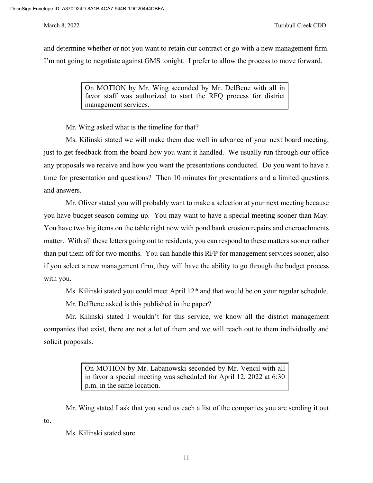and determine whether or not you want to retain our contract or go with a new management firm. I'm not going to negotiate against GMS tonight. I prefer to allow the process to move forward.

> On MOTION by Mr. Wing seconded by Mr. DelBene with all in favor staff was authorized to start the RFQ process for district management services.

Mr. Wing asked what is the timeline for that?

Ms. Kilinski stated we will make them due well in advance of your next board meeting, just to get feedback from the board how you want it handled. We usually run through our office any proposals we receive and how you want the presentations conducted. Do you want to have a time for presentation and questions? Then 10 minutes for presentations and a limited questions and answers.

Mr. Oliver stated you will probably want to make a selection at your next meeting because you have budget season coming up. You may want to have a special meeting sooner than May. You have two big items on the table right now with pond bank erosion repairs and encroachments matter. With all these letters going out to residents, you can respond to these matters sooner rather than put them off for two months. You can handle this RFP for management services sooner, also if you select a new management firm, they will have the ability to go through the budget process with you.

Ms. Kilinski stated you could meet April  $12<sup>th</sup>$  and that would be on your regular schedule.

Mr. DelBene asked is this published in the paper?

Mr. Kilinski stated I wouldn't for this service, we know all the district management companies that exist, there are not a lot of them and we will reach out to them individually and solicit proposals.

> On MOTION by Mr. Labanowski seconded by Mr. Vencil with all in favor a special meeting was scheduled for April 12, 2022 at 6:30 p.m. in the same location.

Mr. Wing stated I ask that you send us each a list of the companies you are sending it out

Ms. Kilinski stated sure.

to.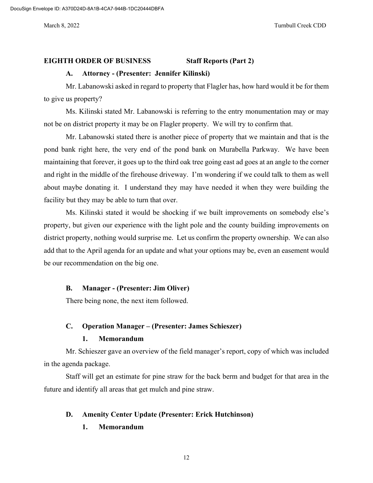### **EIGHTH ORDER OF BUSINESS Staff Reports (Part 2)**

### **A. Attorney - (Presenter: Jennifer Kilinski)**

Mr. Labanowski asked in regard to property that Flagler has, how hard would it be for them to give us property?

Ms. Kilinski stated Mr. Labanowski is referring to the entry monumentation may or may not be on district property it may be on Flagler property. We will try to confirm that.

Mr. Labanowski stated there is another piece of property that we maintain and that is the pond bank right here, the very end of the pond bank on Murabella Parkway. We have been maintaining that forever, it goes up to the third oak tree going east ad goes at an angle to the corner and right in the middle of the firehouse driveway. I'm wondering if we could talk to them as well about maybe donating it. I understand they may have needed it when they were building the facility but they may be able to turn that over.

Ms. Kilinski stated it would be shocking if we built improvements on somebody else's property, but given our experience with the light pole and the county building improvements on district property, nothing would surprise me. Let us confirm the property ownership. We can also add that to the April agenda for an update and what your options may be, even an easement would be our recommendation on the big one.

## **B. Manager - (Presenter: Jim Oliver)**

There being none, the next item followed.

# **C. Operation Manager – (Presenter: James Schieszer)**

# **1. Memorandum**

Mr. Schieszer gave an overview of the field manager's report, copy of which was included in the agenda package.

Staff will get an estimate for pine straw for the back berm and budget for that area in the future and identify all areas that get mulch and pine straw.

### **D. Amenity Center Update (Presenter: Erick Hutchinson)**

# **1. Memorandum**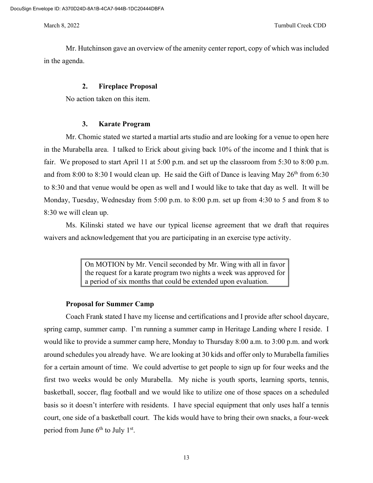Mr. Hutchinson gave an overview of the amenity center report, copy of which was included in the agenda.

### **2. Fireplace Proposal**

No action taken on this item.

## **3. Karate Program**

Mr. Chomic stated we started a martial arts studio and are looking for a venue to open here in the Murabella area. I talked to Erick about giving back 10% of the income and I think that is fair. We proposed to start April 11 at 5:00 p.m. and set up the classroom from 5:30 to 8:00 p.m. and from 8:00 to 8:30 I would clean up. He said the Gift of Dance is leaving May  $26<sup>th</sup>$  from 6:30 to 8:30 and that venue would be open as well and I would like to take that day as well. It will be Monday, Tuesday, Wednesday from 5:00 p.m. to 8:00 p.m. set up from 4:30 to 5 and from 8 to 8:30 we will clean up.

Ms. Kilinski stated we have our typical license agreement that we draft that requires waivers and acknowledgement that you are participating in an exercise type activity.

> On MOTION by Mr. Vencil seconded by Mr. Wing with all in favor the request for a karate program two nights a week was approved for a period of six months that could be extended upon evaluation.

### **Proposal for Summer Camp**

Coach Frank stated I have my license and certifications and I provide after school daycare, spring camp, summer camp. I'm running a summer camp in Heritage Landing where I reside. I would like to provide a summer camp here, Monday to Thursday 8:00 a.m. to 3:00 p.m. and work around schedules you already have. We are looking at 30 kids and offer only to Murabella families for a certain amount of time. We could advertise to get people to sign up for four weeks and the first two weeks would be only Murabella. My niche is youth sports, learning sports, tennis, basketball, soccer, flag football and we would like to utilize one of those spaces on a scheduled basis so it doesn't interfere with residents. I have special equipment that only uses half a tennis court, one side of a basketball court. The kids would have to bring their own snacks, a four-week period from June  $6<sup>th</sup>$  to July 1<sup>st</sup>.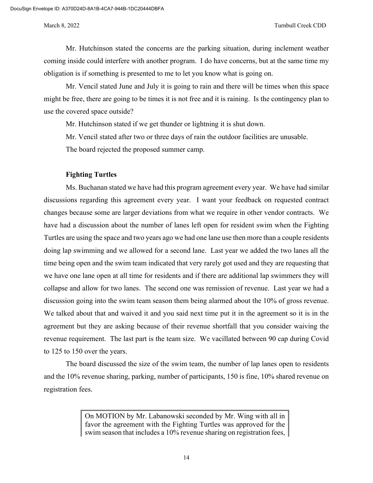Mr. Hutchinson stated the concerns are the parking situation, during inclement weather coming inside could interfere with another program. I do have concerns, but at the same time my obligation is if something is presented to me to let you know what is going on.

Mr. Vencil stated June and July it is going to rain and there will be times when this space might be free, there are going to be times it is not free and it is raining. Is the contingency plan to use the covered space outside?

Mr. Hutchinson stated if we get thunder or lightning it is shut down.

Mr. Vencil stated after two or three days of rain the outdoor facilities are unusable.

The board rejected the proposed summer camp.

## **Fighting Turtles**

Ms. Buchanan stated we have had this program agreement every year. We have had similar discussions regarding this agreement every year. I want your feedback on requested contract changes because some are larger deviations from what we require in other vendor contracts. We have had a discussion about the number of lanes left open for resident swim when the Fighting Turtles are using the space and two years ago we had one lane use then more than a couple residents doing lap swimming and we allowed for a second lane. Last year we added the two lanes all the time being open and the swim team indicated that very rarely got used and they are requesting that we have one lane open at all time for residents and if there are additional lap swimmers they will collapse and allow for two lanes. The second one was remission of revenue. Last year we had a discussion going into the swim team season them being alarmed about the 10% of gross revenue. We talked about that and waived it and you said next time put it in the agreement so it is in the agreement but they are asking because of their revenue shortfall that you consider waiving the revenue requirement. The last part is the team size. We vacillated between 90 cap during Covid to 125 to 150 over the years.

The board discussed the size of the swim team, the number of lap lanes open to residents and the 10% revenue sharing, parking, number of participants, 150 is fine, 10% shared revenue on registration fees.

> On MOTION by Mr. Labanowski seconded by Mr. Wing with all in favor the agreement with the Fighting Turtles was approved for the swim season that includes a 10% revenue sharing on registration fees,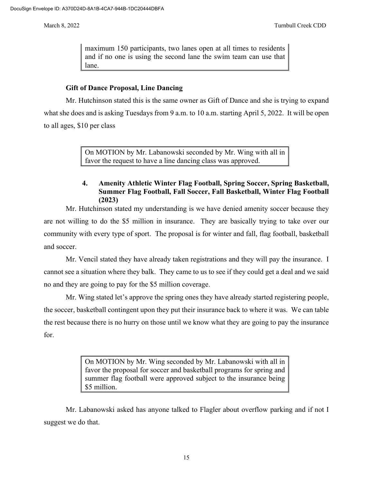maximum 150 participants, two lanes open at all times to residents and if no one is using the second lane the swim team can use that lane.

# **Gift of Dance Proposal, Line Dancing**

Mr. Hutchinson stated this is the same owner as Gift of Dance and she is trying to expand what she does and is asking Tuesdays from 9 a.m. to 10 a.m. starting April 5, 2022. It will be open to all ages, \$10 per class

> On MOTION by Mr. Labanowski seconded by Mr. Wing with all in favor the request to have a line dancing class was approved.

# **4. Amenity Athletic Winter Flag Football, Spring Soccer, Spring Basketball, Summer Flag Football, Fall Soccer, Fall Basketball, Winter Flag Football (2023)**

Mr. Hutchinson stated my understanding is we have denied amenity soccer because they are not willing to do the \$5 million in insurance. They are basically trying to take over our community with every type of sport. The proposal is for winter and fall, flag football, basketball and soccer.

Mr. Vencil stated they have already taken registrations and they will pay the insurance. I cannot see a situation where they balk. They came to us to see if they could get a deal and we said no and they are going to pay for the \$5 million coverage.

Mr. Wing stated let's approve the spring ones they have already started registering people, the soccer, basketball contingent upon they put their insurance back to where it was. We can table the rest because there is no hurry on those until we know what they are going to pay the insurance for.

> On MOTION by Mr. Wing seconded by Mr. Labanowski with all in favor the proposal for soccer and basketball programs for spring and summer flag football were approved subject to the insurance being \$5 million.

Mr. Labanowski asked has anyone talked to Flagler about overflow parking and if not I suggest we do that.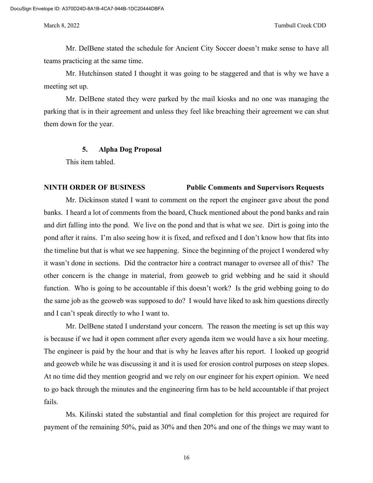Mr. DelBene stated the schedule for Ancient City Soccer doesn't make sense to have all teams practicing at the same time.

Mr. Hutchinson stated I thought it was going to be staggered and that is why we have a meeting set up.

Mr. DelBene stated they were parked by the mail kiosks and no one was managing the parking that is in their agreement and unless they feel like breaching their agreement we can shut them down for the year.

### **5. Alpha Dog Proposal**

This item tabled.

## **NINTH ORDER OF BUSINESS Public Comments and Supervisors Requests**

Mr. Dickinson stated I want to comment on the report the engineer gave about the pond banks. I heard a lot of comments from the board, Chuck mentioned about the pond banks and rain and dirt falling into the pond. We live on the pond and that is what we see. Dirt is going into the pond after it rains. I'm also seeing how it is fixed, and refixed and I don't know how that fits into the timeline but that is what we see happening. Since the beginning of the project I wondered why it wasn't done in sections. Did the contractor hire a contract manager to oversee all of this? The other concern is the change in material, from geoweb to grid webbing and he said it should function. Who is going to be accountable if this doesn't work? Is the grid webbing going to do the same job as the geoweb was supposed to do? I would have liked to ask him questions directly and I can't speak directly to who I want to.

Mr. DelBene stated I understand your concern. The reason the meeting is set up this way is because if we had it open comment after every agenda item we would have a six hour meeting. The engineer is paid by the hour and that is why he leaves after his report. I looked up geogrid and geoweb while he was discussing it and it is used for erosion control purposes on steep slopes. At no time did they mention geogrid and we rely on our engineer for his expert opinion. We need to go back through the minutes and the engineering firm has to be held accountable if that project fails.

Ms. Kilinski stated the substantial and final completion for this project are required for payment of the remaining 50%, paid as 30% and then 20% and one of the things we may want to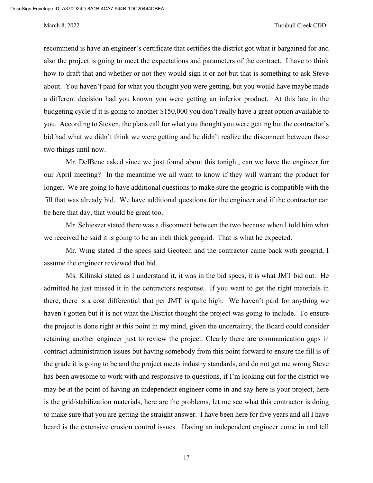### March 8, 2022 Turnbull Creek CDD

recommend is have an engineer's certificate that certifies the district got what it bargained for and also the project is going to meet the expectations and parameters of the contract. I have to think how to draft that and whether or not they would sign it or not but that is something to ask Steve about. You haven't paid for what you thought you were getting, but you would have maybe made a different decision had you known you were getting an inferior product. At this late in the budgeting cycle if it is going to another \$150,000 you don't really have a great option available to you. According to Steven, the plans call for what you thought you were getting but the contractor's bid had what we didn't think we were getting and he didn't realize the disconnect between those two things until now.

Mr. DelBene asked since we just found about this tonight, can we have the engineer for our April meeting? In the meantime we all want to know if they will warrant the product for longer. We are going to have additional questions to make sure the geogrid is compatible with the fill that was already bid. We have additional questions for the engineer and if the contractor can be here that day, that would be great too.

Mr. Schieszer stated there was a disconnect between the two because when I told him what we received he said it is going to be an inch thick geogrid. That is what he expected.

Mr. Wing stated if the specs said Geotech and the contractor came back with geogrid, I assume the engineer reviewed that bid.

Ms. Kilinski stated as I understand it, it was in the bid specs, it is what JMT bid out. He admitted he just missed it in the contractors response. If you want to get the right materials in there, there is a cost differential that per JMT is quite high. We haven't paid for anything we haven't gotten but it is not what the District thought the project was going to include. To ensure the project is done right at this point in my mind, given the uncertainty, the Board could consider retaining another engineer just to review the project. Clearly there are communication gaps in contract administration issues but having somebody from this point forward to ensure the fill is of the grade it is going to be and the project meets industry standards, and do not get me wrong Steve has been awesome to work with and responsive to questions, if I'm looking out for the district we may be at the point of having an independent engineer come in and say here is your project, here is the grid/stabilization materials, here are the problems, let me see what this contractor is doing to make sure that you are getting the straight answer. I have been here for five years and all I have heard is the extensive erosion control issues. Having an independent engineer come in and tell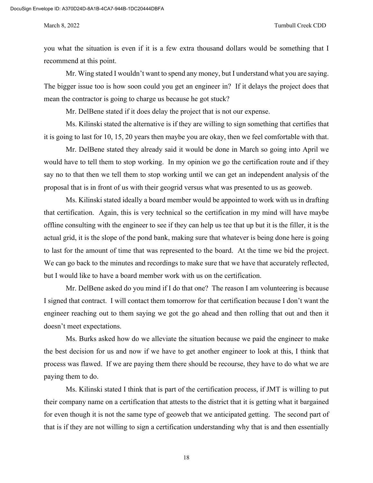you what the situation is even if it is a few extra thousand dollars would be something that I recommend at this point.

Mr. Wing stated I wouldn't want to spend any money, but I understand what you are saying. The bigger issue too is how soon could you get an engineer in? If it delays the project does that mean the contractor is going to charge us because he got stuck?

Mr. DelBene stated if it does delay the project that is not our expense.

Ms. Kilinski stated the alternative is if they are willing to sign something that certifies that it is going to last for 10, 15, 20 years then maybe you are okay, then we feel comfortable with that.

Mr. DelBene stated they already said it would be done in March so going into April we would have to tell them to stop working. In my opinion we go the certification route and if they say no to that then we tell them to stop working until we can get an independent analysis of the proposal that is in front of us with their geogrid versus what was presented to us as geoweb.

Ms. Kilinski stated ideally a board member would be appointed to work with us in drafting that certification. Again, this is very technical so the certification in my mind will have maybe offline consulting with the engineer to see if they can help us tee that up but it is the filler, it is the actual grid, it is the slope of the pond bank, making sure that whatever is being done here is going to last for the amount of time that was represented to the board. At the time we bid the project. We can go back to the minutes and recordings to make sure that we have that accurately reflected, but I would like to have a board member work with us on the certification.

Mr. DelBene asked do you mind if I do that one? The reason I am volunteering is because I signed that contract. I will contact them tomorrow for that certification because I don't want the engineer reaching out to them saying we got the go ahead and then rolling that out and then it doesn't meet expectations.

Ms. Burks asked how do we alleviate the situation because we paid the engineer to make the best decision for us and now if we have to get another engineer to look at this, I think that process was flawed. If we are paying them there should be recourse, they have to do what we are paying them to do.

Ms. Kilinski stated I think that is part of the certification process, if JMT is willing to put their company name on a certification that attests to the district that it is getting what it bargained for even though it is not the same type of geoweb that we anticipated getting. The second part of that is if they are not willing to sign a certification understanding why that is and then essentially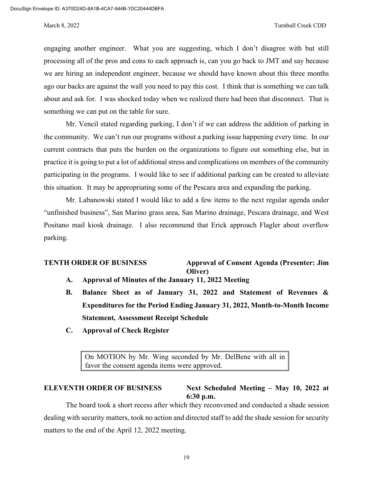engaging another engineer. What you are suggesting, which I don't disagree with but still processing all of the pros and cons to each approach is, can you go back to JMT and say because we are hiring an independent engineer, because we should have known about this three months ago our backs are against the wall you need to pay this cost. I think that is something we can talk about and ask for. I was shocked today when we realized there had been that disconnect. That is something we can put on the table for sure.

Mr. Vencil stated regarding parking, I don't if we can address the addition of parking in the community. We can't run our programs without a parking issue happening every time. In our current contracts that puts the burden on the organizations to figure out something else, but in practice it is going to put a lot of additional stress and complications on members of the community participating in the programs. I would like to see if additional parking can be created to alleviate this situation. It may be appropriating some of the Pescara area and expanding the parking.

Mr. Labanowski stated I would like to add a few items to the next regular agenda under "unfinished business", San Marino grass area, San Marino drainage, Pescara drainage, and West Positano mail kiosk drainage. I also recommend that Erick approach Flagler about overflow parking.

**TENTH ORDER OF BUSINESS Approval of Consent Agenda (Presenter: Jim Oliver)**

- **A. Approval of Minutes of the January 11, 2022 Meeting**
- **B. Balance Sheet as of January 31, 2022 and Statement of Revenues & Expenditures for the Period Ending January 31, 2022, Month-to-Month Income Statement, Assessment Receipt Schedule**
- **C. Approval of Check Register**

On MOTION by Mr. Wing seconded by Mr. DelBene with all in favor the consent agenda items were approved.

# **ELEVENTH ORDER OF BUSINESS Next Scheduled Meeting – May 10, 2022 at 6:30 p.m.**

The board took a short recess after which they reconvened and conducted a shade session dealing with security matters, took no action and directed staff to add the shade session for security matters to the end of the April 12, 2022 meeting.